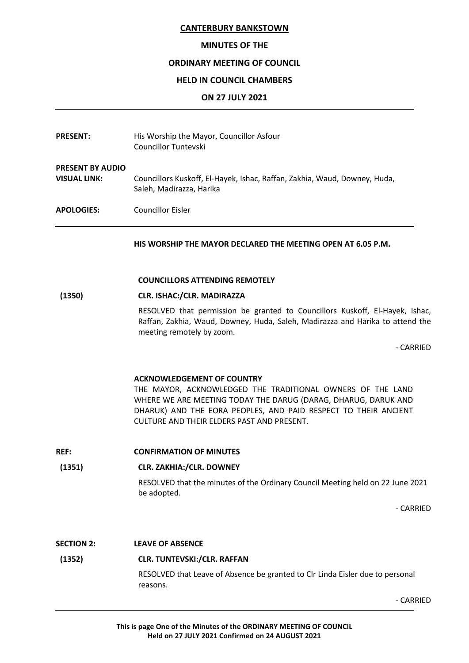## **MINUTES OF THE**

## **ORDINARY MEETING OF COUNCIL**

#### **HELD IN COUNCIL CHAMBERS**

#### **ON 27 JULY 2021**

| <b>PRESENT:</b>                                | His Worship the Mayor, Councillor Asfour<br>Councillor Tuntevski                                      |
|------------------------------------------------|-------------------------------------------------------------------------------------------------------|
| <b>PRESENT BY AUDIO</b><br><b>VISUAL LINK:</b> | Councillors Kuskoff, El-Hayek, Ishac, Raffan, Zakhia, Waud, Downey, Huda,<br>Saleh, Madirazza, Harika |
| <b>APOLOGIES:</b>                              | Councillor Eisler                                                                                     |

**HIS WORSHIP THE MAYOR DECLARED THE MEETING OPEN AT 6.05 P.M.**

#### **COUNCILLORS ATTENDING REMOTELY**

# **(1350) CLR. ISHAC:/CLR. MADIRAZZA**

RESOLVED that permission be granted to Councillors Kuskoff, El-Hayek, Ishac, Raffan, Zakhia, Waud, Downey, Huda, Saleh, Madirazza and Harika to attend the meeting remotely by zoom.

- CARRIED

#### **ACKNOWLEDGEMENT OF COUNTRY**

THE MAYOR, ACKNOWLEDGED THE TRADITIONAL OWNERS OF THE LAND WHERE WE ARE MEETING TODAY THE DARUG (DARAG, DHARUG, DARUK AND DHARUK) AND THE EORA PEOPLES, AND PAID RESPECT TO THEIR ANCIENT CULTURE AND THEIR ELDERS PAST AND PRESENT.

**REF: CONFIRMATION OF MINUTES**

#### **(1351) CLR. ZAKHIA:/CLR. DOWNEY**

RESOLVED that the minutes of the Ordinary Council Meeting held on 22 June 2021 be adopted.

- CARRIED

#### **SECTION 2: LEAVE OF ABSENCE**

# **(1352) CLR. TUNTEVSKI:/CLR. RAFFAN**

RESOLVED that Leave of Absence be granted to Clr Linda Eisler due to personal reasons.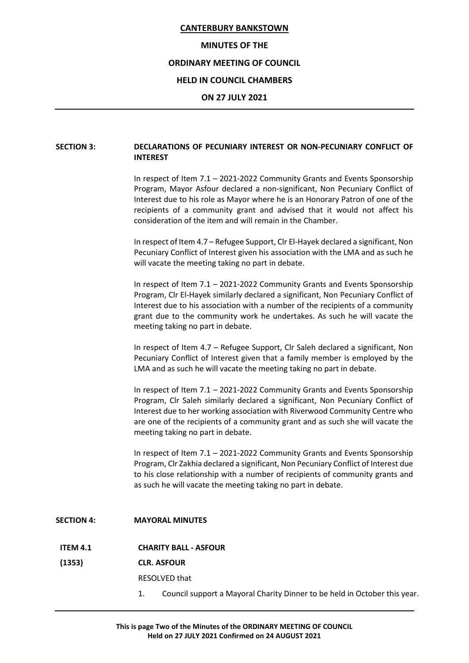#### **MINUTES OF THE**

# **ORDINARY MEETING OF COUNCIL**

## **HELD IN COUNCIL CHAMBERS**

#### **ON 27 JULY 2021**

# **SECTION 3: DECLARATIONS OF PECUNIARY INTEREST OR NON-PECUNIARY CONFLICT OF INTEREST**

In respect of Item 7.1 – 2021-2022 Community Grants and Events Sponsorship Program, Mayor Asfour declared a non-significant, Non Pecuniary Conflict of Interest due to his role as Mayor where he is an Honorary Patron of one of the recipients of a community grant and advised that it would not affect his consideration of the item and will remain in the Chamber.

In respect of Item 4.7 – Refugee Support, Clr El-Hayek declared a significant, Non Pecuniary Conflict of Interest given his association with the LMA and as such he will vacate the meeting taking no part in debate.

In respect of Item 7.1 – 2021-2022 Community Grants and Events Sponsorship Program, Clr El-Hayek similarly declared a significant, Non Pecuniary Conflict of Interest due to his association with a number of the recipients of a community grant due to the community work he undertakes. As such he will vacate the meeting taking no part in debate.

In respect of Item 4.7 – Refugee Support, Clr Saleh declared a significant, Non Pecuniary Conflict of Interest given that a family member is employed by the LMA and as such he will vacate the meeting taking no part in debate.

In respect of Item 7.1 – 2021-2022 Community Grants and Events Sponsorship Program, Clr Saleh similarly declared a significant, Non Pecuniary Conflict of Interest due to her working association with Riverwood Community Centre who are one of the recipients of a community grant and as such she will vacate the meeting taking no part in debate.

In respect of Item 7.1 – 2021-2022 Community Grants and Events Sponsorship Program, Clr Zakhia declared a significant, Non Pecuniary Conflict of Interest due to his close relationship with a number of recipients of community grants and as such he will vacate the meeting taking no part in debate.

#### **SECTION 4: MAYORAL MINUTES**

#### **ITEM 4.1 CHARITY BALL - ASFOUR**

#### **(1353) CLR. ASFOUR**

RESOLVED that

1. Council support a Mayoral Charity Dinner to be held in October this year.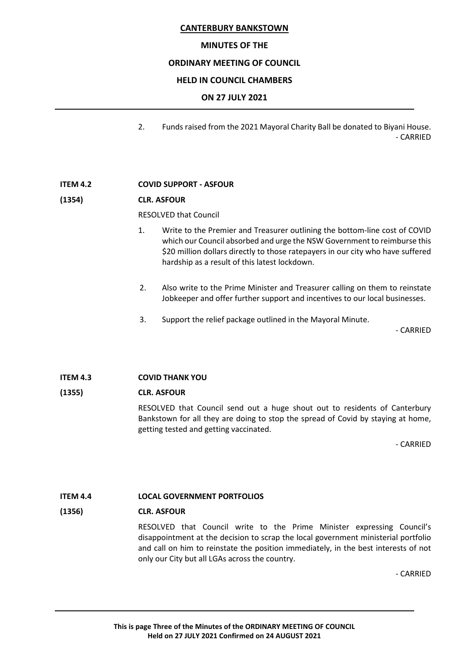# **MINUTES OF THE**

## **ORDINARY MEETING OF COUNCIL**

# **HELD IN COUNCIL CHAMBERS**

# **ON 27 JULY 2021**

2. Funds raised from the 2021 Mayoral Charity Ball be donated to Biyani House. - CARRIED

# **ITEM 4.2 COVID SUPPORT - ASFOUR**

# **(1354) CLR. ASFOUR**

RESOLVED that Council

- 1. Write to the Premier and Treasurer outlining the bottom-line cost of COVID which our Council absorbed and urge the NSW Government to reimburse this \$20 million dollars directly to those ratepayers in our city who have suffered hardship as a result of this latest lockdown.
- 2. Also write to the Prime Minister and Treasurer calling on them to reinstate Jobkeeper and offer further support and incentives to our local businesses.
- 3. Support the relief package outlined in the Mayoral Minute.

- CARRIED

# **ITEM 4.3 COVID THANK YOU**

# **(1355) CLR. ASFOUR**

RESOLVED that Council send out a huge shout out to residents of Canterbury Bankstown for all they are doing to stop the spread of Covid by staying at home, getting tested and getting vaccinated.

- CARRIED

# **ITEM 4.4 LOCAL GOVERNMENT PORTFOLIOS**

# **(1356) CLR. ASFOUR**

RESOLVED that Council write to the Prime Minister expressing Council's disappointment at the decision to scrap the local government ministerial portfolio and call on him to reinstate the position immediately, in the best interests of not only our City but all LGAs across the country.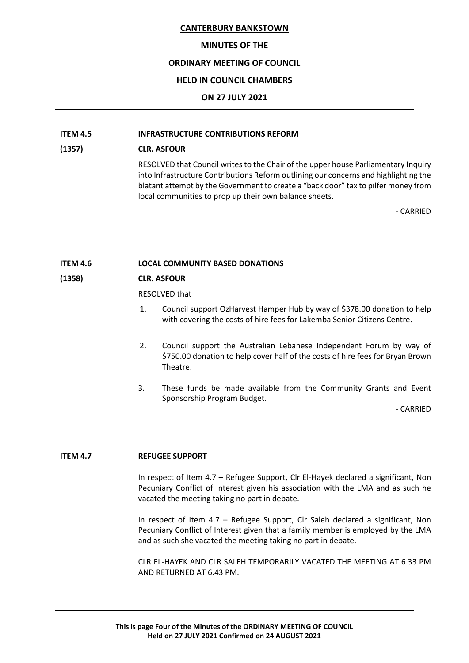#### **MINUTES OF THE**

# **ORDINARY MEETING OF COUNCIL**

# **HELD IN COUNCIL CHAMBERS**

# **ON 27 JULY 2021**

# **ITEM 4.5 INFRASTRUCTURE CONTRIBUTIONS REFORM**

# **(1357) CLR. ASFOUR**

RESOLVED that Council writes to the Chair of the upper house Parliamentary Inquiry into Infrastructure Contributions Reform outlining our concerns and highlighting the blatant attempt by the Government to create a "back door" tax to pilfer money from local communities to prop up their own balance sheets.

- CARRIED

# **ITEM 4.6 LOCAL COMMUNITY BASED DONATIONS**

# **(1358) CLR. ASFOUR**

RESOLVED that

- 1. Council support OzHarvest Hamper Hub by way of \$378.00 donation to help with covering the costs of hire fees for Lakemba Senior Citizens Centre.
- 2. Council support the Australian Lebanese Independent Forum by way of \$750.00 donation to help cover half of the costs of hire fees for Bryan Brown Theatre.
- 3. These funds be made available from the Community Grants and Event Sponsorship Program Budget.

- CARRIED

# **ITEM 4.7 REFUGEE SUPPORT**

In respect of Item 4.7 – Refugee Support, Clr El-Hayek declared a significant, Non Pecuniary Conflict of Interest given his association with the LMA and as such he vacated the meeting taking no part in debate.

In respect of Item 4.7 – Refugee Support, Clr Saleh declared a significant, Non Pecuniary Conflict of Interest given that a family member is employed by the LMA and as such she vacated the meeting taking no part in debate.

CLR EL-HAYEK AND CLR SALEH TEMPORARILY VACATED THE MEETING AT 6.33 PM AND RETURNED AT 6.43 PM.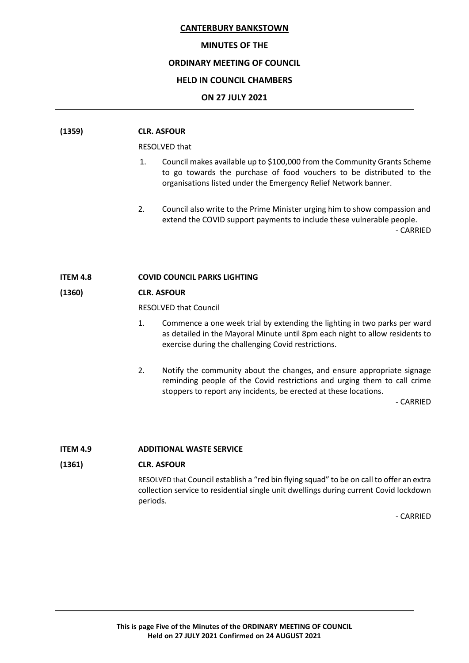## **MINUTES OF THE**

## **ORDINARY MEETING OF COUNCIL**

# **HELD IN COUNCIL CHAMBERS**

## **ON 27 JULY 2021**

| (1359)          | <b>CLR. ASFOUR</b> |                                                                                                                                                                                                                     |  |
|-----------------|--------------------|---------------------------------------------------------------------------------------------------------------------------------------------------------------------------------------------------------------------|--|
|                 | RESOLVED that      |                                                                                                                                                                                                                     |  |
|                 | 1.                 | Council makes available up to \$100,000 from the Community Grants Scheme<br>to go towards the purchase of food vouchers to be distributed to the<br>organisations listed under the Emergency Relief Network banner. |  |
|                 | 2.                 | Council also write to the Prime Minister urging him to show compassion and<br>extend the COVID support payments to include these vulnerable people.<br>- CARRIED                                                    |  |
| <b>ITEM 4.8</b> |                    | <b>COVID COUNCIL PARKS LIGHTING</b>                                                                                                                                                                                 |  |

# **(1360) CLR. ASFOUR**

RESOLVED that Council

- 1. Commence a one week trial by extending the lighting in two parks per ward as detailed in the Mayoral Minute until 8pm each night to allow residents to exercise during the challenging Covid restrictions.
- 2. Notify the community about the changes, and ensure appropriate signage reminding people of the Covid restrictions and urging them to call crime stoppers to report any incidents, be erected at these locations.

- CARRIED

#### **ITEM 4.9 ADDITIONAL WASTE SERVICE**

# **(1361) CLR. ASFOUR**

RESOLVED that Council establish a "red bin flying squad" to be on call to offer an extra collection service to residential single unit dwellings during current Covid lockdown periods.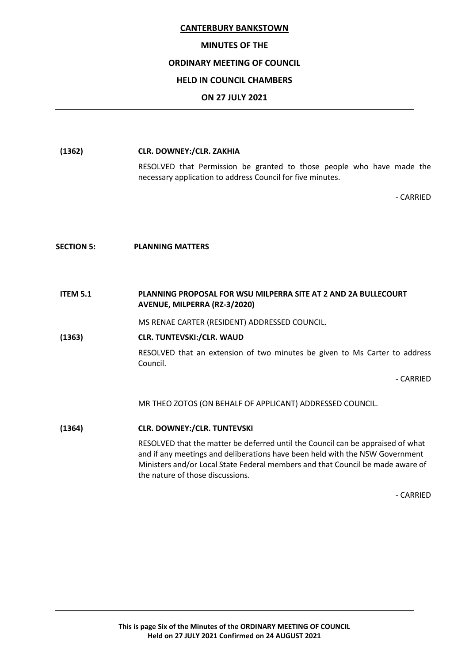# **MINUTES OF THE**

# **ORDINARY MEETING OF COUNCIL**

# **HELD IN COUNCIL CHAMBERS**

# **ON 27 JULY 2021**

**(1362) CLR. DOWNEY:/CLR. ZAKHIA** RESOLVED that Permission be granted to those people who have made the necessary application to address Council for five minutes. - CARRIED **SECTION 5: PLANNING MATTERS ITEM 5.1 PLANNING PROPOSAL FOR WSU MILPERRA SITE AT 2 AND 2A BULLECOURT AVENUE, MILPERRA (RZ-3/2020)** MS RENAE CARTER (RESIDENT) ADDRESSED COUNCIL. **(1363) CLR. TUNTEVSKI:/CLR. WAUD** RESOLVED that an extension of two minutes be given to Ms Carter to address Council. - CARRIED MR THEO ZOTOS (ON BEHALF OF APPLICANT) ADDRESSED COUNCIL. **(1364) CLR. DOWNEY:/CLR. TUNTEVSKI** RESOLVED that the matter be deferred until the Council can be appraised of what and if any meetings and deliberations have been held with the NSW Government Ministers and/or Local State Federal members and that Council be made aware of the nature of those discussions.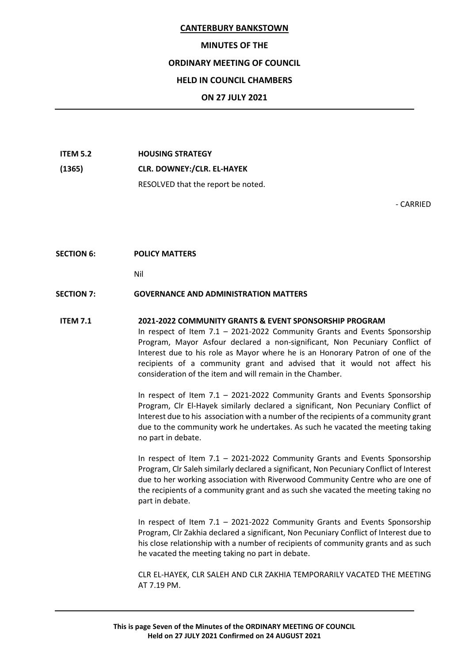#### **MINUTES OF THE**

# **ORDINARY MEETING OF COUNCIL**

# **HELD IN COUNCIL CHAMBERS**

## **ON 27 JULY 2021**

**ITEM 5.2 HOUSING STRATEGY (1365) CLR. DOWNEY:/CLR. EL-HAYEK** RESOLVED that the report be noted.

- CARRIED

#### **SECTION 6: POLICY MATTERS**

Nil

#### **SECTION 7: GOVERNANCE AND ADMINISTRATION MATTERS**

#### **ITEM 7.1 2021-2022 COMMUNITY GRANTS & EVENT SPONSORSHIP PROGRAM**

In respect of Item 7.1 – 2021-2022 Community Grants and Events Sponsorship Program, Mayor Asfour declared a non-significant, Non Pecuniary Conflict of Interest due to his role as Mayor where he is an Honorary Patron of one of the recipients of a community grant and advised that it would not affect his consideration of the item and will remain in the Chamber.

In respect of Item 7.1 – 2021-2022 Community Grants and Events Sponsorship Program, Clr El-Hayek similarly declared a significant, Non Pecuniary Conflict of Interest due to his association with a number of the recipients of a community grant due to the community work he undertakes. As such he vacated the meeting taking no part in debate.

In respect of Item 7.1 – 2021-2022 Community Grants and Events Sponsorship Program, Clr Saleh similarly declared a significant, Non Pecuniary Conflict of Interest due to her working association with Riverwood Community Centre who are one of the recipients of a community grant and as such she vacated the meeting taking no part in debate.

In respect of Item 7.1 – 2021-2022 Community Grants and Events Sponsorship Program, Clr Zakhia declared a significant, Non Pecuniary Conflict of Interest due to his close relationship with a number of recipients of community grants and as such he vacated the meeting taking no part in debate.

CLR EL-HAYEK, CLR SALEH AND CLR ZAKHIA TEMPORARILY VACATED THE MEETING AT 7.19 PM.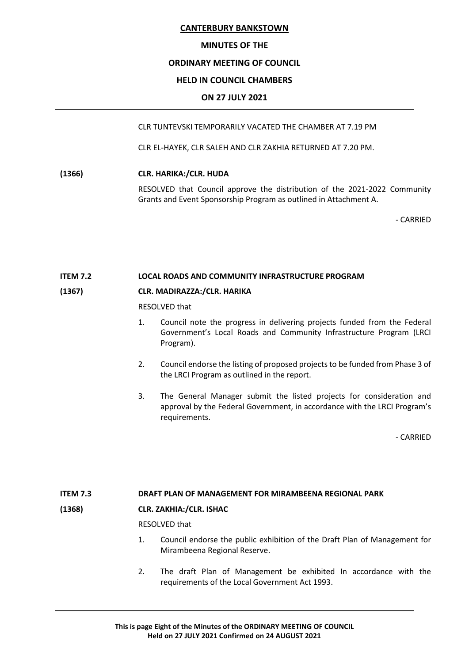## **MINUTES OF THE**

# **ORDINARY MEETING OF COUNCIL**

# **HELD IN COUNCIL CHAMBERS**

# **ON 27 JULY 2021**

CLR TUNTEVSKI TEMPORARILY VACATED THE CHAMBER AT 7.19 PM

CLR EL-HAYEK, CLR SALEH AND CLR ZAKHIA RETURNED AT 7.20 PM.

**(1366) CLR. HARIKA:/CLR. HUDA**

RESOLVED that Council approve the distribution of the 2021-2022 Community Grants and Event Sponsorship Program as outlined in Attachment A.

- CARRIED

#### **ITEM 7.2 LOCAL ROADS AND COMMUNITY INFRASTRUCTURE PROGRAM**

# **(1367) CLR. MADIRAZZA:/CLR. HARIKA**

RESOLVED that

- 1. Council note the progress in delivering projects funded from the Federal Government's Local Roads and Community Infrastructure Program (LRCI Program).
- 2. Council endorse the listing of proposed projects to be funded from Phase 3 of the LRCI Program as outlined in the report.
- 3. The General Manager submit the listed projects for consideration and approval by the Federal Government, in accordance with the LRCI Program's requirements.

- CARRIED

# **ITEM 7.3 DRAFT PLAN OF MANAGEMENT FOR MIRAMBEENA REGIONAL PARK**

# **(1368) CLR. ZAKHIA:/CLR. ISHAC**

RESOLVED that

- 1. Council endorse the public exhibition of the Draft Plan of Management for Mirambeena Regional Reserve.
- 2. The draft Plan of Management be exhibited In accordance with the requirements of the Local Government Act 1993.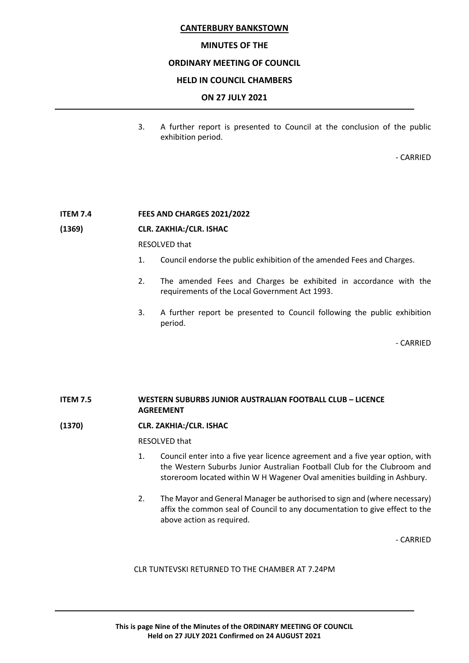## **MINUTES OF THE**

# **ORDINARY MEETING OF COUNCIL**

## **HELD IN COUNCIL CHAMBERS**

## **ON 27 JULY 2021**

3. A further report is presented to Council at the conclusion of the public exhibition period.

- CARRIED

#### **ITEM 7.4 FEES AND CHARGES 2021/2022**

#### **(1369) CLR. ZAKHIA:/CLR. ISHAC**

#### RESOLVED that

- 1. Council endorse the public exhibition of the amended Fees and Charges.
- 2. The amended Fees and Charges be exhibited in accordance with the requirements of the Local Government Act 1993.
- 3. A further report be presented to Council following the public exhibition period.

- CARRIED

# **ITEM 7.5 WESTERN SUBURBS JUNIOR AUSTRALIAN FOOTBALL CLUB – LICENCE AGREEMENT**

# **(1370) CLR. ZAKHIA:/CLR. ISHAC**

#### RESOLVED that

- 1. Council enter into a five year licence agreement and a five year option, with the Western Suburbs Junior Australian Football Club for the Clubroom and storeroom located within W H Wagener Oval amenities building in Ashbury.
- 2. The Mayor and General Manager be authorised to sign and (where necessary) affix the common seal of Council to any documentation to give effect to the above action as required.

- CARRIED

CLR TUNTEVSKI RETURNED TO THE CHAMBER AT 7.24PM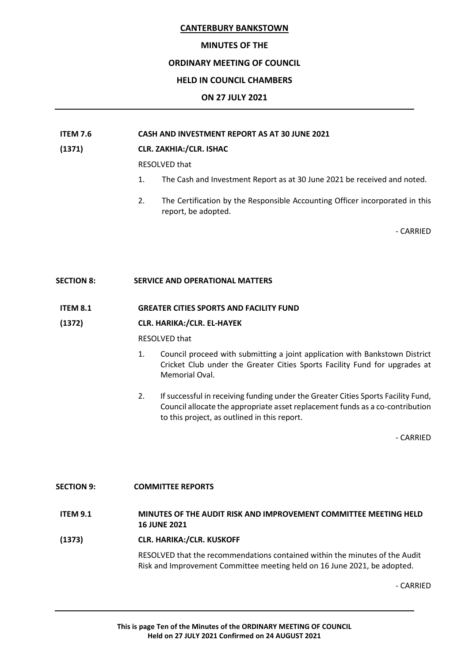# **MINUTES OF THE**

# **ORDINARY MEETING OF COUNCIL**

# **HELD IN COUNCIL CHAMBERS**

# **ON 27 JULY 2021**

# **ITEM 7.6 CASH AND INVESTMENT REPORT AS AT 30 JUNE 2021**

# **(1371) CLR. ZAKHIA:/CLR. ISHAC**

RESOLVED that

- 1. The Cash and Investment Report as at 30 June 2021 be received and noted.
- 2. The Certification by the Responsible Accounting Officer incorporated in this report, be adopted.

- CARRIED

# **SECTION 8: SERVICE AND OPERATIONAL MATTERS**

**ITEM 8.1 GREATER CITIES SPORTS AND FACILITY FUND**

# **(1372) CLR. HARIKA:/CLR. EL-HAYEK**

RESOLVED that

- 1. Council proceed with submitting a joint application with Bankstown District Cricket Club under the Greater Cities Sports Facility Fund for upgrades at Memorial Oval.
- 2. If successful in receiving funding under the Greater Cities Sports Facility Fund, Council allocate the appropriate asset replacement funds as a co-contribution to this project, as outlined in this report.

- CARRIED

# **SECTION 9: COMMITTEE REPORTS**

# **ITEM 9.1 MINUTES OF THE AUDIT RISK AND IMPROVEMENT COMMITTEE MEETING HELD 16 JUNE 2021**

**(1373) CLR. HARIKA:/CLR. KUSKOFF**

RESOLVED that the recommendations contained within the minutes of the Audit Risk and Improvement Committee meeting held on 16 June 2021, be adopted.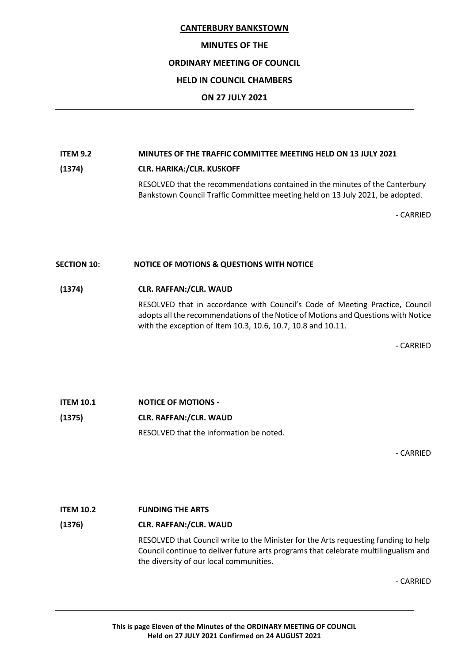# **MINUTES OF THE**

# **ORDINARY MEETING OF COUNCIL**

# **HELD IN COUNCIL CHAMBERS**

# **ON 27 JULY 2021**

# **ITEM 9.2 MINUTES OF THE TRAFFIC COMMITTEE MEETING HELD ON 13 JULY 2021**

**(1374) CLR. HARIKA:/CLR. KUSKOFF**

RESOLVED that the recommendations contained in the minutes of the Canterbury Bankstown Council Traffic Committee meeting held on 13 July 2021, be adopted.

- CARRIED

# **SECTION 10: NOTICE OF MOTIONS & QUESTIONS WITH NOTICE**

# **(1374) CLR. RAFFAN:/CLR. WAUD**

RESOLVED that in accordance with Council's Code of Meeting Practice, Council adopts all the recommendations of the Notice of Motions and Questions with Notice with the exception of Item 10.3, 10.6, 10.7, 10.8 and 10.11.

- CARRIED

**ITEM 10.1 NOTICE OF MOTIONS - (1375) CLR. RAFFAN:/CLR. WAUD** RESOLVED that the information be noted.

- CARRIED

# **ITEM 10.2 FUNDING THE ARTS**

# **(1376) CLR. RAFFAN:/CLR. WAUD**

RESOLVED that Council write to the Minister for the Arts requesting funding to help Council continue to deliver future arts programs that celebrate multilingualism and the diversity of our local communities.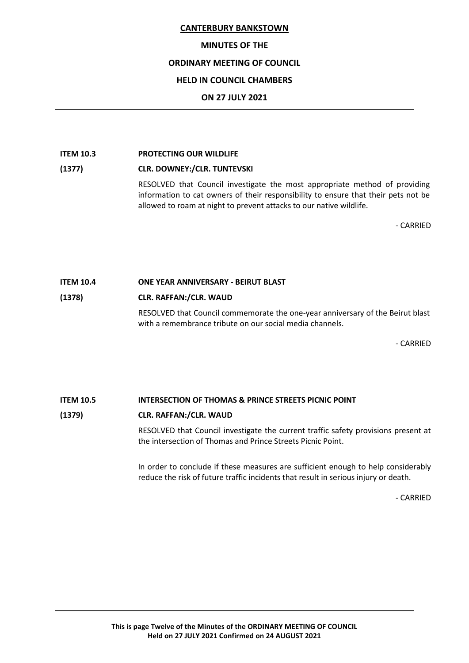# **MINUTES OF THE**

# **ORDINARY MEETING OF COUNCIL**

# **HELD IN COUNCIL CHAMBERS**

# **ON 27 JULY 2021**

## **ITEM 10.3 PROTECTING OUR WILDLIFE**

# **(1377) CLR. DOWNEY:/CLR. TUNTEVSKI**

RESOLVED that Council investigate the most appropriate method of providing information to cat owners of their responsibility to ensure that their pets not be allowed to roam at night to prevent attacks to our native wildlife.

- CARRIED

# **ITEM 10.4 ONE YEAR ANNIVERSARY - BEIRUT BLAST**

# **(1378) CLR. RAFFAN:/CLR. WAUD**

RESOLVED that Council commemorate the one-year anniversary of the Beirut blast with a remembrance tribute on our social media channels.

- CARRIED

# **ITEM 10.5 INTERSECTION OF THOMAS & PRINCE STREETS PICNIC POINT**

# **(1379) CLR. RAFFAN:/CLR. WAUD**

RESOLVED that Council investigate the current traffic safety provisions present at the intersection of Thomas and Prince Streets Picnic Point.

In order to conclude if these measures are sufficient enough to help considerably reduce the risk of future traffic incidents that result in serious injury or death.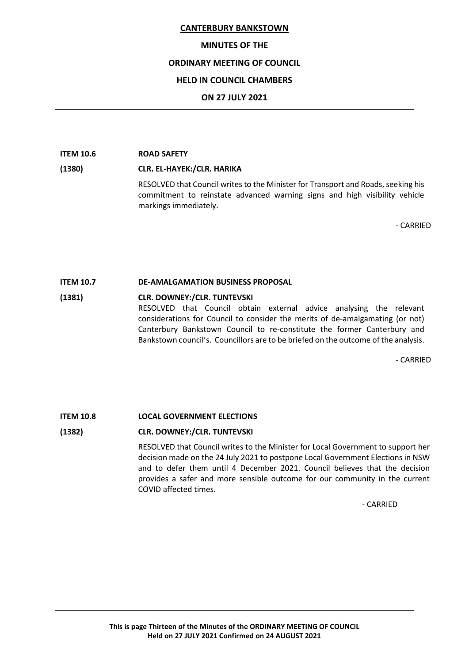# **MINUTES OF THE**

# **ORDINARY MEETING OF COUNCIL**

# **HELD IN COUNCIL CHAMBERS**

# **ON 27 JULY 2021**

#### **ITEM 10.6 ROAD SAFETY**

# **(1380) CLR. EL-HAYEK:/CLR. HARIKA**

RESOLVED that Council writes to the Minister for Transport and Roads, seeking his commitment to reinstate advanced warning signs and high visibility vehicle markings immediately.

- CARRIED

# **ITEM 10.7 DE-AMALGAMATION BUSINESS PROPOSAL**

# **(1381) CLR. DOWNEY:/CLR. TUNTEVSKI** RESOLVED that Council obtain external advice analysing the relevant considerations for Council to consider the merits of de-amalgamating (or not) Canterbury Bankstown Council to re-constitute the former Canterbury and Bankstown council's. Councillors are to be briefed on the outcome of the analysis.

- CARRIED

# **ITEM 10.8 LOCAL GOVERNMENT ELECTIONS**

# **(1382) CLR. DOWNEY:/CLR. TUNTEVSKI**

RESOLVED that Council writes to the Minister for Local Government to support her decision made on the 24 July 2021 to postpone Local Government Elections in NSW and to defer them until 4 December 2021. Council believes that the decision provides a safer and more sensible outcome for our community in the current COVID affected times.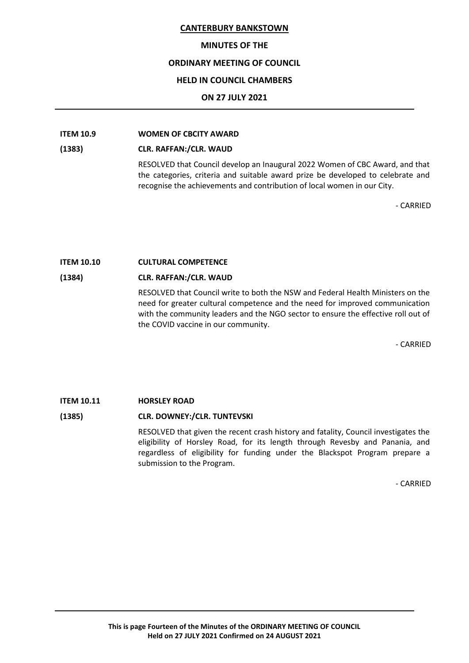## **MINUTES OF THE**

# **ORDINARY MEETING OF COUNCIL**

## **HELD IN COUNCIL CHAMBERS**

# **ON 27 JULY 2021**

# **ITEM 10.9 WOMEN OF CBCITY AWARD**

#### **(1383) CLR. RAFFAN:/CLR. WAUD**

RESOLVED that Council develop an Inaugural 2022 Women of CBC Award, and that the categories, criteria and suitable award prize be developed to celebrate and recognise the achievements and contribution of local women in our City.

- CARRIED

## **ITEM 10.10 CULTURAL COMPETENCE**

#### **(1384) CLR. RAFFAN:/CLR. WAUD**

RESOLVED that Council write to both the NSW and Federal Health Ministers on the need for greater cultural competence and the need for improved communication with the community leaders and the NGO sector to ensure the effective roll out of the COVID vaccine in our community.

- CARRIED

# **ITEM 10.11 HORSLEY ROAD**

# **(1385) CLR. DOWNEY:/CLR. TUNTEVSKI**

RESOLVED that given the recent crash history and fatality, Council investigates the eligibility of Horsley Road, for its length through Revesby and Panania, and regardless of eligibility for funding under the Blackspot Program prepare a submission to the Program.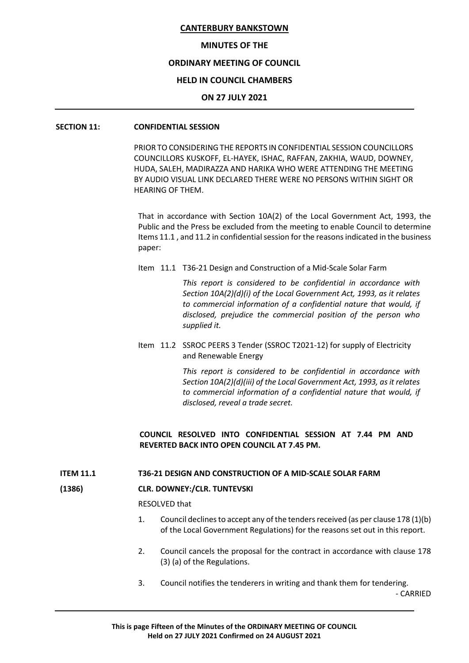#### **MINUTES OF THE**

# **ORDINARY MEETING OF COUNCIL**

## **HELD IN COUNCIL CHAMBERS**

#### **ON 27 JULY 2021**

# **SECTION 11: CONFIDENTIAL SESSION**

PRIOR TO CONSIDERING THE REPORTS IN CONFIDENTIAL SESSION COUNCILLORS COUNCILLORS KUSKOFF, EL-HAYEK, ISHAC, RAFFAN, ZAKHIA, WAUD, DOWNEY, HUDA, SALEH, MADIRAZZA AND HARIKA WHO WERE ATTENDING THE MEETING BY AUDIO VISUAL LINK DECLARED THERE WERE NO PERSONS WITHIN SIGHT OR HEARING OF THEM.

That in accordance with Section 10A(2) of the Local Government Act, 1993, the Public and the Press be excluded from the meeting to enable Council to determine Items 11.1 , and 11.2 in confidential session for the reasons indicated in the business paper:

Item 11.1 T36-21 Design and Construction of a Mid-Scale Solar Farm

*This report is considered to be confidential in accordance with Section 10A(2)(d)(i) of the Local Government Act, 1993, as it relates to commercial information of a confidential nature that would, if disclosed, prejudice the commercial position of the person who supplied it.*

Item 11.2 SSROC PEERS 3 Tender (SSROC T2021-12) for supply of Electricity and Renewable Energy

> *This report is considered to be confidential in accordance with Section 10A(2)(d)(iii) of the Local Government Act, 1993, as it relates to commercial information of a confidential nature that would, if disclosed, reveal a trade secret.*

# **COUNCIL RESOLVED INTO CONFIDENTIAL SESSION AT 7.44 PM AND REVERTED BACK INTO OPEN COUNCIL AT 7.45 PM.**

#### **ITEM 11.1 T36-21 DESIGN AND CONSTRUCTION OF A MID-SCALE SOLAR FARM**

#### **(1386) CLR. DOWNEY:/CLR. TUNTEVSKI**

RESOLVED that

- 1. Council declines to accept any of the tenders received (as per clause 178 (1)(b) of the Local Government Regulations) for the reasons set out in this report.
- 2. Council cancels the proposal for the contract in accordance with clause 178 (3) (a) of the Regulations.
- 3. Council notifies the tenderers in writing and thank them for tendering.